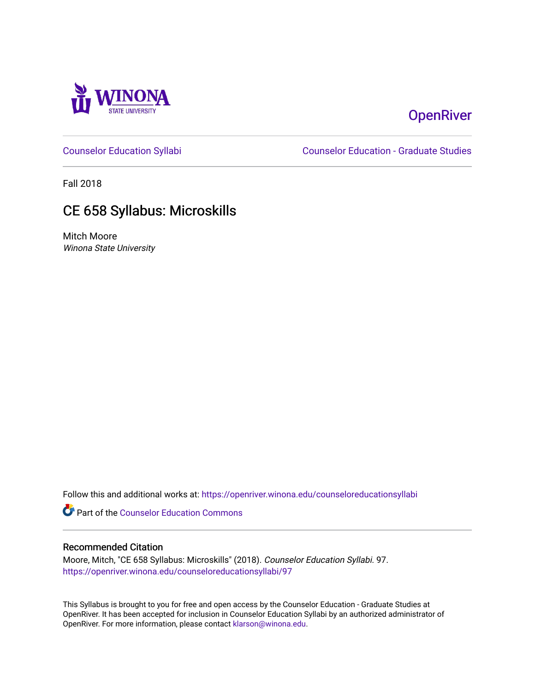

# **OpenRiver**

[Counselor Education Syllabi](https://openriver.winona.edu/counseloreducationsyllabi) [Counselor Education - Graduate Studies](https://openriver.winona.edu/counseloreducation) 

Fall 2018

# CE 658 Syllabus: Microskills

Mitch Moore Winona State University

Follow this and additional works at: [https://openriver.winona.edu/counseloreducationsyllabi](https://openriver.winona.edu/counseloreducationsyllabi?utm_source=openriver.winona.edu%2Fcounseloreducationsyllabi%2F97&utm_medium=PDF&utm_campaign=PDFCoverPages)

Part of the [Counselor Education Commons](http://network.bepress.com/hgg/discipline/1278?utm_source=openriver.winona.edu%2Fcounseloreducationsyllabi%2F97&utm_medium=PDF&utm_campaign=PDFCoverPages) 

#### Recommended Citation

Moore, Mitch, "CE 658 Syllabus: Microskills" (2018). Counselor Education Syllabi. 97. [https://openriver.winona.edu/counseloreducationsyllabi/97](https://openriver.winona.edu/counseloreducationsyllabi/97?utm_source=openriver.winona.edu%2Fcounseloreducationsyllabi%2F97&utm_medium=PDF&utm_campaign=PDFCoverPages) 

This Syllabus is brought to you for free and open access by the Counselor Education - Graduate Studies at OpenRiver. It has been accepted for inclusion in Counselor Education Syllabi by an authorized administrator of OpenRiver. For more information, please contact [klarson@winona.edu](mailto:klarson@winona.edu).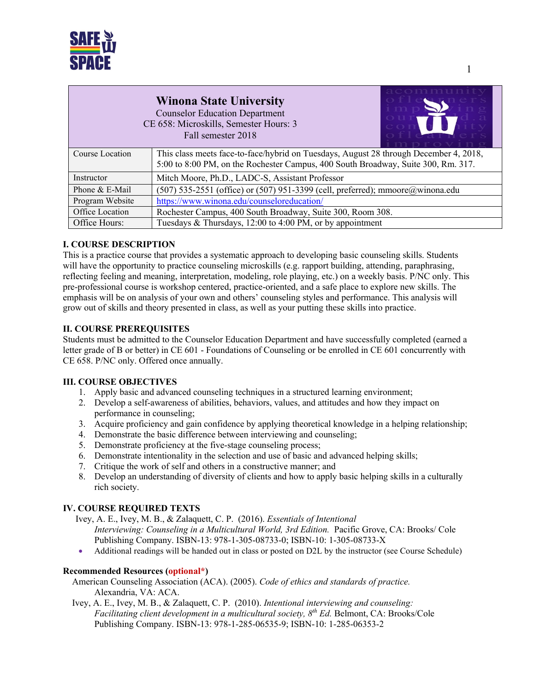

## **Winona State University** Counselor Education Department

CE 658: Microskills, Semester Hours: 3 Fall semester 2018



|                 | m n r o v i n o                                                                                                                                                            |
|-----------------|----------------------------------------------------------------------------------------------------------------------------------------------------------------------------|
| Course Location | This class meets face-to-face/hybrid on Tuesdays, August 28 through December 4, 2018,<br>5:00 to 8:00 PM, on the Rochester Campus, 400 South Broadway, Suite 300, Rm. 317. |
|                 |                                                                                                                                                                            |
| Instructor      | Mitch Moore, Ph.D., LADC-S, Assistant Professor                                                                                                                            |
| Phone & E-Mail  | $(507)$ 535-2551 (office) or (507) 951-3399 (cell, preferred); mmoore@winona.edu                                                                                           |
| Program Website | https://www.winona.edu/counseloreducation/                                                                                                                                 |
| Office Location | Rochester Campus, 400 South Broadway, Suite 300, Room 308.                                                                                                                 |
| Office Hours:   | Tuesdays & Thursdays, 12:00 to 4:00 PM, or by appointment                                                                                                                  |

## **I. COURSE DESCRIPTION**

This is a practice course that provides a systematic approach to developing basic counseling skills. Students will have the opportunity to practice counseling microskills (e.g. rapport building, attending, paraphrasing, reflecting feeling and meaning, interpretation, modeling, role playing, etc.) on a weekly basis. P/NC only. This pre-professional course is workshop centered, practice-oriented, and a safe place to explore new skills. The emphasis will be on analysis of your own and others' counseling styles and performance. This analysis will grow out of skills and theory presented in class, as well as your putting these skills into practice.

## **II. COURSE PREREQUISITES**

Students must be admitted to the Counselor Education Department and have successfully completed (earned a letter grade of B or better) in CE 601 - Foundations of Counseling or be enrolled in CE 601 concurrently with CE 658. P/NC only. Offered once annually.

## **III. COURSE OBJECTIVES**

- 1. Apply basic and advanced counseling techniques in a structured learning environment;
- 2. Develop a self-awareness of abilities, behaviors, values, and attitudes and how they impact on performance in counseling;
- 3. Acquire proficiency and gain confidence by applying theoretical knowledge in a helping relationship;
- 4. Demonstrate the basic difference between interviewing and counseling;
- 5. Demonstrate proficiency at the five-stage counseling process;
- 6. Demonstrate intentionality in the selection and use of basic and advanced helping skills;
- 7. Critique the work of self and others in a constructive manner; and
- 8. Develop an understanding of diversity of clients and how to apply basic helping skills in a culturally rich society.

## **IV. COURSE REQUIRED TEXTS**

Ivey, A. E., Ivey, M. B., & Zalaquett, C. P. (2016). *Essentials of Intentional Interviewing: Counseling in a Multicultural World, 3rd Edition.* Pacific Grove, CA: Brooks/ Cole Publishing Company. ISBN-13: 978-1-305-08733-0; ISBN-10: 1-305-08733-X

• Additional readings will be handed out in class or posted on D2L by the instructor (see Course Schedule)

#### **Recommended Resources (optional\*)**

 American Counseling Association (ACA). (2005). *Code of ethics and standards of practice.* Alexandria, VA: ACA.

 Ivey, A. E., Ivey, M. B., & Zalaquett, C. P. (2010). *Intentional interviewing and counseling: Facilitating client development in a multicultural society, 8th Ed.* Belmont, CA: Brooks/Cole Publishing Company. ISBN-13: 978-1-285-06535-9; ISBN-10: 1-285-06353-2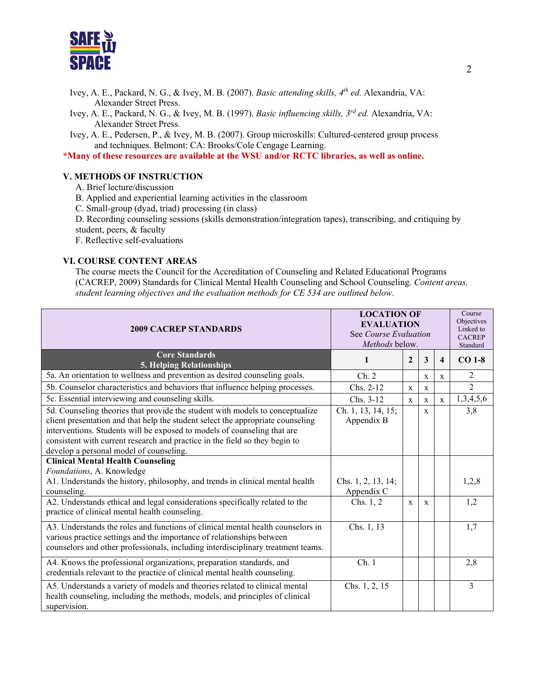

- Ivey, A. E., Packard, N. G., & Ivey, M. B. (2007). *Basic attending skills, 4th ed.* Alexandria, VA: Alexander Street Press.
- Ivey, A. E., Packard, N. G., & Ivey, M. B. (1997). *Basic influencing skills, 3rd ed.* Alexandria, VA: Alexander Street Press.
- Ivey, A. E., Pedersen, P., & Ivey, M. B. (2007). Group microskills: Cultured-centered group process and techniques. Belmont: CA: Brooks/Cole Cengage Learning.

**\*Many of these resources are available at the WSU and/or RCTC libraries, as well as online.**

#### **V. METHODS OF INSTRUCTION**

- A. Brief lecture/discussion
- B. Applied and experiential learning activities in the classroom
- C. Small-group (dyad, triad) processing (in class)
- D. Recording counseling sessions (skills demonstration/integration tapes), transcribing, and critiquing by student, peers, & faculty
- F. Reflective self-evaluations

#### **VI. COURSE CONTENT AREAS**

The course meets the Council for the Accreditation of Counseling and Related Educational Programs (CACREP, 2009) Standards for Clinical Mental Health Counseling and School Counseling. *Content areas, student learning objectives and the evaluation methods for CE 534 are outlined below.*

| <b>2009 CACREP STANDARDS</b>                                                                                                                                                                                                                                                                                                                                           | <b>LOCATION OF</b><br><b>EVALUATION</b><br>See Course Evaluation<br>Methods below. |              |              | Course<br>Objectives<br>Linked to<br><b>CACREP</b><br>Standard |                |
|------------------------------------------------------------------------------------------------------------------------------------------------------------------------------------------------------------------------------------------------------------------------------------------------------------------------------------------------------------------------|------------------------------------------------------------------------------------|--------------|--------------|----------------------------------------------------------------|----------------|
| <b>Core Standards</b><br><b>5. Helping Relationships</b>                                                                                                                                                                                                                                                                                                               | $\mathbf{1}$                                                                       | $\mathbf{2}$ | 3            | $\overline{\mathbf{4}}$                                        | $CO$ 1-8       |
| 5a. An orientation to wellness and prevention as desired counseling goals.                                                                                                                                                                                                                                                                                             | Ch. 2                                                                              |              | $\mathbf x$  | $\mathbf X$                                                    | $\overline{2}$ |
| 5b. Counselor characteristics and behaviors that influence helping processes.                                                                                                                                                                                                                                                                                          | Chs. 2-12                                                                          | $\mathbf{x}$ | X            |                                                                | $\overline{2}$ |
| 5c. Essential interviewing and counseling skills.                                                                                                                                                                                                                                                                                                                      | Chs. 3-12                                                                          | $\mathbf{x}$ | $\mathbf{x}$ | $\mathbf{x}$                                                   | 1,3,4,5,6      |
| 5d. Counseling theories that provide the student with models to conceptualize<br>client presentation and that help the student select the appropriate counseling<br>interventions. Students will be exposed to models of counseling that are<br>consistent with current research and practice in the field so they begin to<br>develop a personal model of counseling. | Ch. 1, 13, 14, 15;<br>Appendix B                                                   |              | $\mathbf{x}$ |                                                                | 3,8            |
| <b>Clinical Mental Health Counseling</b>                                                                                                                                                                                                                                                                                                                               |                                                                                    |              |              |                                                                |                |
| Foundations, A. Knowledge<br>A1. Understands the history, philosophy, and trends in clinical mental health<br>counseling.                                                                                                                                                                                                                                              | Chs. 1, 2, 13, 14;<br>Appendix C                                                   |              |              |                                                                | 1,2,8          |
| A2. Understands ethical and legal considerations specifically related to the<br>practice of clinical mental health counseling.                                                                                                                                                                                                                                         | Chs. 1, 2                                                                          | $\mathbf x$  | $\mathbf{x}$ |                                                                | 1,2            |
| A3. Understands the roles and functions of clinical mental health counselors in<br>various practice settings and the importance of relationships between<br>counselors and other professionals, including interdisciplinary treatment teams.                                                                                                                           | Chs. 1, 13                                                                         |              |              |                                                                | 1,7            |
| A4. Knows the professional organizations, preparation standards, and<br>credentials relevant to the practice of clinical mental health counseling.                                                                                                                                                                                                                     | Ch.1                                                                               |              |              |                                                                | 2,8            |
| A5. Understands a variety of models and theories related to clinical mental<br>health counseling, including the methods, models, and principles of clinical<br>supervision.                                                                                                                                                                                            | Chs. 1, 2, 15                                                                      |              |              |                                                                | 3              |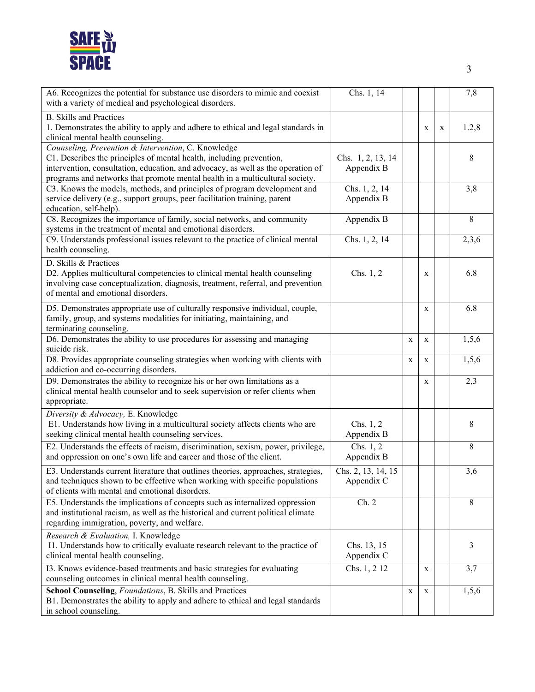

| A6. Recognizes the potential for substance use disorders to mimic and coexist<br>with a variety of medical and psychological disorders.                                                                                                                                                         | Chs. 1, 14                       |             |             |             | 7,8   |
|-------------------------------------------------------------------------------------------------------------------------------------------------------------------------------------------------------------------------------------------------------------------------------------------------|----------------------------------|-------------|-------------|-------------|-------|
| <b>B.</b> Skills and Practices<br>1. Demonstrates the ability to apply and adhere to ethical and legal standards in<br>clinical mental health counseling.                                                                                                                                       |                                  |             | X           | $\mathbf X$ | 1.2,8 |
| Counseling, Prevention & Intervention, C. Knowledge<br>C1. Describes the principles of mental health, including prevention,<br>intervention, consultation, education, and advocacy, as well as the operation of<br>programs and networks that promote mental health in a multicultural society. | Chs. 1, 2, 13, 14<br>Appendix B  |             |             |             | 8     |
| C3. Knows the models, methods, and principles of program development and<br>service delivery (e.g., support groups, peer facilitation training, parent<br>education, self-help).                                                                                                                | Chs. 1, 2, 14<br>Appendix B      |             |             |             | 3,8   |
| C8. Recognizes the importance of family, social networks, and community<br>systems in the treatment of mental and emotional disorders.                                                                                                                                                          | Appendix B                       |             |             |             | 8     |
| C9. Understands professional issues relevant to the practice of clinical mental<br>health counseling.                                                                                                                                                                                           | Chs. 1, 2, 14                    |             |             |             | 2,3,6 |
| D. Skills & Practices<br>D2. Applies multicultural competencies to clinical mental health counseling<br>involving case conceptualization, diagnosis, treatment, referral, and prevention<br>of mental and emotional disorders.                                                                  | Chs. $1, 2$                      |             | X           |             | 6.8   |
| D5. Demonstrates appropriate use of culturally responsive individual, couple,<br>family, group, and systems modalities for initiating, maintaining, and<br>terminating counseling.                                                                                                              |                                  |             | $\mathbf X$ |             | 6.8   |
| D6. Demonstrates the ability to use procedures for assessing and managing<br>suicide risk.                                                                                                                                                                                                      |                                  | $\mathbf X$ | $\mathbf X$ |             | 1,5,6 |
| D8. Provides appropriate counseling strategies when working with clients with<br>addiction and co-occurring disorders.                                                                                                                                                                          |                                  | X           | X           |             | 1,5,6 |
| D9. Demonstrates the ability to recognize his or her own limitations as a<br>clinical mental health counselor and to seek supervision or refer clients when<br>appropriate.                                                                                                                     |                                  |             | X           |             | 2,3   |
| Diversity & Advocacy, E. Knowledge<br>E1. Understands how living in a multicultural society affects clients who are<br>seeking clinical mental health counseling services.                                                                                                                      | Chs. $1, 2$<br>Appendix B        |             |             |             | 8     |
| E2. Understands the effects of racism, discrimination, sexism, power, privilege,<br>and oppression on one's own life and career and those of the client.                                                                                                                                        | Chs. $1, 2$<br>Appendix B        |             |             |             | 8     |
| E3. Understands current literature that outlines theories, approaches, strategies,<br>and techniques shown to be effective when working with specific populations<br>of clients with mental and emotional disorders.                                                                            | Chs. 2, 13, 14, 15<br>Appendix C |             |             |             | 3,6   |
| E5. Understands the implications of concepts such as internalized oppression<br>and institutional racism, as well as the historical and current political climate<br>regarding immigration, poverty, and welfare.                                                                               | Ch. 2                            |             |             |             | 8     |
| Research & Evaluation, I. Knowledge<br>I1. Understands how to critically evaluate research relevant to the practice of<br>clinical mental health counseling.                                                                                                                                    | Chs. 13, 15<br>Appendix C        |             |             |             | 3     |
| I3. Knows evidence-based treatments and basic strategies for evaluating<br>counseling outcomes in clinical mental health counseling.                                                                                                                                                            | Chs. 1, 2 12                     |             | X           |             | 3,7   |
| School Counseling, Foundations, B. Skills and Practices<br>B1. Demonstrates the ability to apply and adhere to ethical and legal standards<br>in school counseling.                                                                                                                             |                                  | X           | X           |             | 1,5,6 |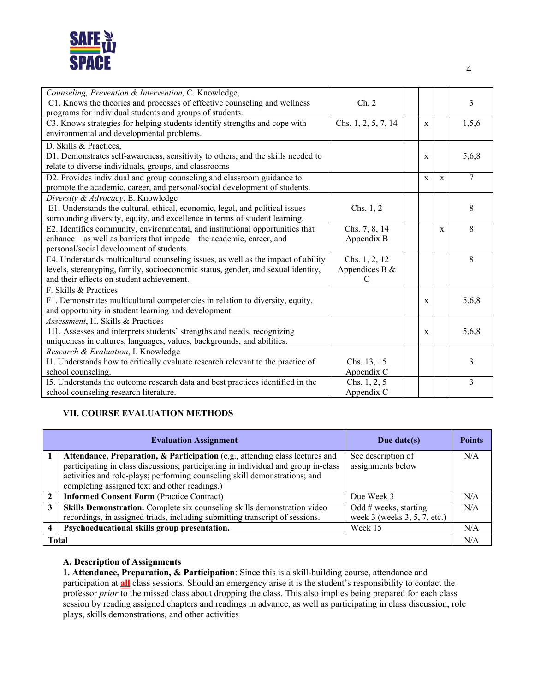

| Counseling, Prevention & Intervention, C. Knowledge,                              |                     |             |             |       |
|-----------------------------------------------------------------------------------|---------------------|-------------|-------------|-------|
| C1. Knows the theories and processes of effective counseling and wellness         | Ch. 2               |             |             | 3     |
| programs for individual students and groups of students.                          |                     |             |             |       |
| C3. Knows strategies for helping students identify strengths and cope with        | Chs. 1, 2, 5, 7, 14 | $\mathbf x$ |             | 1,5,6 |
| environmental and developmental problems.                                         |                     |             |             |       |
| D. Skills & Practices,                                                            |                     |             |             |       |
| D1. Demonstrates self-awareness, sensitivity to others, and the skills needed to  |                     | X           |             | 5,6,8 |
| relate to diverse individuals, groups, and classrooms                             |                     |             |             |       |
| D2. Provides individual and group counseling and classroom guidance to            |                     | X           | X           | 7     |
| promote the academic, career, and personal/social development of students.        |                     |             |             |       |
| Diversity & Advocacy, E. Knowledge                                                |                     |             |             |       |
| E1. Understands the cultural, ethical, economic, legal, and political issues      | Chs. $1, 2$         |             |             | 8     |
| surrounding diversity, equity, and excellence in terms of student learning.       |                     |             |             |       |
| E2. Identifies community, environmental, and institutional opportunities that     | Chs. 7, 8, 14       |             | $\mathbf X$ | 8     |
| enhance—as well as barriers that impede—the academic, career, and                 | Appendix B          |             |             |       |
| personal/social development of students.                                          |                     |             |             |       |
| E4. Understands multicultural counseling issues, as well as the impact of ability | Chs. 1, 2, 12       |             |             | 8     |
| levels, stereotyping, family, socioeconomic status, gender, and sexual identity,  | Appendices B $&$    |             |             |       |
| and their effects on student achievement.                                         | $\mathcal{C}$       |             |             |       |
| F. Skills & Practices                                                             |                     |             |             |       |
| F1. Demonstrates multicultural competencies in relation to diversity, equity,     |                     | X           |             | 5,6,8 |
| and opportunity in student learning and development.                              |                     |             |             |       |
| Assessment, H. Skills & Practices                                                 |                     |             |             |       |
| H1. Assesses and interprets students' strengths and needs, recognizing            |                     | X           |             | 5,6,8 |
| uniqueness in cultures, languages, values, backgrounds, and abilities.            |                     |             |             |       |
| Research & Evaluation, I. Knowledge                                               |                     |             |             |       |
| I1. Understands how to critically evaluate research relevant to the practice of   | Chs. 13, 15         |             |             | 3     |
| school counseling.                                                                | Appendix C          |             |             |       |
| I5. Understands the outcome research data and best practices identified in the    | Chs. 1, 2, 5        |             |             | 3     |
| school counseling research literature.                                            | Appendix C          |             |             |       |

## **VII. COURSE EVALUATION METHODS**

|              | <b>Evaluation Assignment</b>                                                                                                                                                                                                                                                                      | Due date $(s)$                                          | <b>Points</b> |  |
|--------------|---------------------------------------------------------------------------------------------------------------------------------------------------------------------------------------------------------------------------------------------------------------------------------------------------|---------------------------------------------------------|---------------|--|
|              | Attendance, Preparation, & Participation (e.g., attending class lectures and<br>participating in class discussions; participating in individual and group in-class<br>activities and role-plays; performing counseling skill demonstrations; and<br>completing assigned text and other readings.) | See description of<br>assignments below                 | N/A           |  |
|              | <b>Informed Consent Form (Practice Contract)</b>                                                                                                                                                                                                                                                  | Due Week 3                                              | N/A           |  |
| 3            | Skills Demonstration. Complete six counseling skills demonstration video<br>recordings, in assigned triads, including submitting transcript of sessions.                                                                                                                                          | Odd $#$ weeks, starting<br>week 3 (weeks 3, 5, 7, etc.) | N/A           |  |
|              | Psychoeducational skills group presentation.                                                                                                                                                                                                                                                      | Week 15                                                 | N/A           |  |
| <b>Total</b> |                                                                                                                                                                                                                                                                                                   |                                                         |               |  |

#### **A. Description of Assignments**

**1. Attendance, Preparation, & Participation**: Since this is a skill-building course, attendance and participation at **all** class sessions. Should an emergency arise it is the student's responsibility to contact the professor *prior* to the missed class about dropping the class. This also implies being prepared for each class session by reading assigned chapters and readings in advance, as well as participating in class discussion, role plays, skills demonstrations, and other activities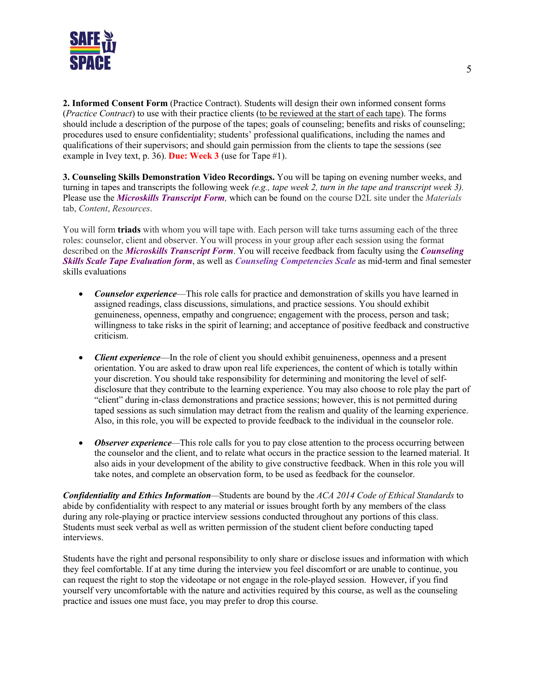

**2. Informed Consent Form** (Practice Contract). Students will design their own informed consent forms (*Practice Contract*) to use with their practice clients (to be reviewed at the start of each tape). The forms should include a description of the purpose of the tapes; goals of counseling; benefits and risks of counseling; procedures used to ensure confidentiality; students' professional qualifications, including the names and qualifications of their supervisors; and should gain permission from the clients to tape the sessions (see example in Ivey text, p. 36). **Due: Week 3** (use for Tape #1).

**3. Counseling Skills Demonstration Video Recordings.** You will be taping on evening number weeks, and turning in tapes and transcripts the following week *(e.g., tape week 2, turn in the tape and transcript week 3).*  Please use the *Microskills Transcript Form,* which can be found on the course D2L site under the *Materials* tab, *Content*, *Resources*.

You will form **triads** with whom you will tape with. Each person will take turns assuming each of the three roles: counselor, client and observer. You will process in your group after each session using the format described on the *Microskills Transcript Form*. You will receive feedback from faculty using the *Counseling Skills Scale Tape Evaluation form*, as well as *Counseling Competencies Scale* as mid-term and final semester skills evaluations

- *Counselor experience*—This role calls for practice and demonstration of skills you have learned in assigned readings, class discussions, simulations, and practice sessions. You should exhibit genuineness, openness, empathy and congruence; engagement with the process, person and task; willingness to take risks in the spirit of learning; and acceptance of positive feedback and constructive criticism.
- *Client experience*—In the role of client you should exhibit genuineness, openness and a present orientation. You are asked to draw upon real life experiences, the content of which is totally within your discretion. You should take responsibility for determining and monitoring the level of selfdisclosure that they contribute to the learning experience. You may also choose to role play the part of "client" during in-class demonstrations and practice sessions; however, this is not permitted during taped sessions as such simulation may detract from the realism and quality of the learning experience. Also, in this role, you will be expected to provide feedback to the individual in the counselor role.
- *Observer experience*—This role calls for you to pay close attention to the process occurring between the counselor and the client, and to relate what occurs in the practice session to the learned material. It also aids in your development of the ability to give constructive feedback. When in this role you will take notes, and complete an observation form, to be used as feedback for the counselor.

*Confidentiality and Ethics Information—*Students are bound by the *ACA 2014 Code of Ethical Standards* to abide by confidentiality with respect to any material or issues brought forth by any members of the class during any role-playing or practice interview sessions conducted throughout any portions of this class. Students must seek verbal as well as written permission of the student client before conducting taped interviews.

Students have the right and personal responsibility to only share or disclose issues and information with which they feel comfortable. If at any time during the interview you feel discomfort or are unable to continue, you can request the right to stop the videotape or not engage in the role-played session. However, if you find yourself very uncomfortable with the nature and activities required by this course, as well as the counseling practice and issues one must face, you may prefer to drop this course.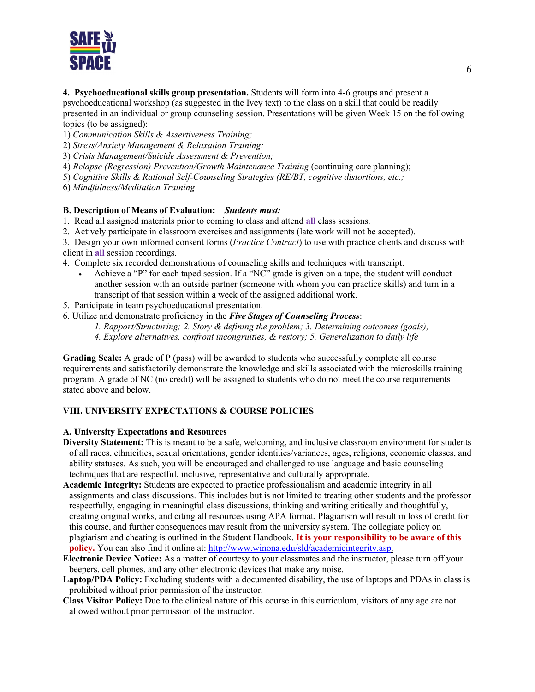

**4. Psychoeducational skills group presentation.** Students will form into 4-6 groups and present a psychoeducational workshop (as suggested in the Ivey text) to the class on a skill that could be readily presented in an individual or group counseling session. Presentations will be given Week 15 on the following topics (to be assigned):

1) *Communication Skills & Assertiveness Training;* 

2) *Stress/Anxiety Management & Relaxation Training;* 

3) *Crisis Management/Suicide Assessment & Prevention;* 

4) *Relapse (Regression) Prevention/Growth Maintenance Training* (continuing care planning);

5) *Cognitive Skills & Rational Self-Counseling Strategies (RE/BT, cognitive distortions, etc.;* 

6) *Mindfulness/Meditation Training*

#### **B. Description of Means of Evaluation:** *Students must:*

1. Read all assigned materials prior to coming to class and attend **all** class sessions.

2. Actively participate in classroom exercises and assignments (late work will not be accepted).

3. Design your own informed consent forms (*Practice Contract*) to use with practice clients and discuss with client in **all** session recordings.

4. Complete six recorded demonstrations of counseling skills and techniques with transcript.

- Achieve a "P" for each taped session. If a "NC" grade is given on a tape, the student will conduct another session with an outside partner (someone with whom you can practice skills) and turn in a transcript of that session within a week of the assigned additional work.
- 5. Participate in team psychoeducational presentation.

6. Utilize and demonstrate proficiency in the *Five Stages of Counseling Process*:

*1. Rapport/Structuring; 2. Story & defining the problem; 3. Determining outcomes (goals);* 

*4. Explore alternatives, confront incongruities, & restory; 5. Generalization to daily life*

**Grading Scale:** A grade of P (pass) will be awarded to students who successfully complete all course requirements and satisfactorily demonstrate the knowledge and skills associated with the microskills training program. A grade of NC (no credit) will be assigned to students who do not meet the course requirements stated above and below.

#### **VIII. UNIVERSITY EXPECTATIONS & COURSE POLICIES**

#### **A. University Expectations and Resources**

**Diversity Statement:** This is meant to be a safe, welcoming, and inclusive classroom environment for students of all races, ethnicities, sexual orientations, gender identities/variances, ages, religions, economic classes, and ability statuses. As such, you will be encouraged and challenged to use language and basic counseling techniques that are respectful, inclusive, representative and culturally appropriate.

- **Academic Integrity:** Students are expected to practice professionalism and academic integrity in all assignments and class discussions. This includes but is not limited to treating other students and the professor respectfully, engaging in meaningful class discussions, thinking and writing critically and thoughtfully, creating original works, and citing all resources using APA format. Plagiarism will result in loss of credit for this course, and further consequences may result from the university system. The collegiate policy on plagiarism and cheating is outlined in the Student Handbook. **It is your responsibility to be aware of this policy.** You can also find it online at[: http://www.winona.edu/sld/academicintegrity.asp.](http://www.winona.edu/sld/academicintegrity.asp)
- **Electronic Device Notice:** As a matter of courtesy to your classmates and the instructor, please turn off your beepers, cell phones, and any other electronic devices that make any noise.

**Laptop/PDA Policy:** Excluding students with a documented disability, the use of laptops and PDAs in class is prohibited without prior permission of the instructor.

**Class Visitor Policy:** Due to the clinical nature of this course in this curriculum, visitors of any age are not allowed without prior permission of the instructor.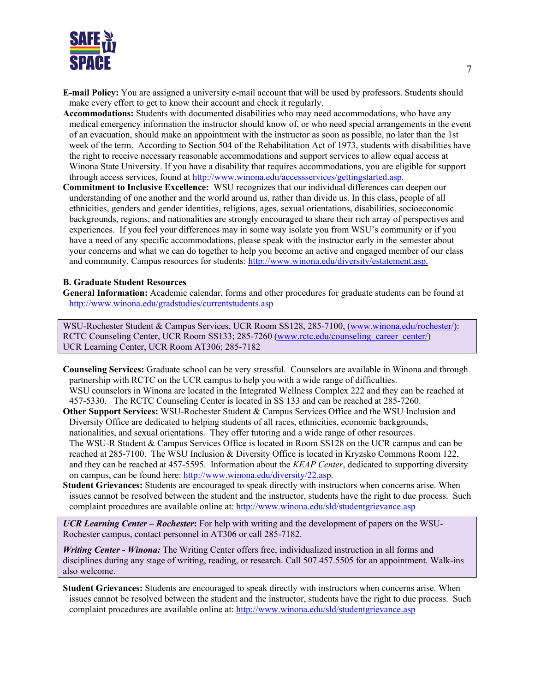

- **E-mail Policy:** You are assigned a university e-mail account that will be used by professors. Students should make every effort to get to know their account and check it regularly.
- **Accommodations:** Students with documented disabilities who may need accommodations, who have any medical emergency information the instructor should know of, or who need special arrangements in the event of an evacuation, should make an appointment with the instructor as soon as possible, no later than the 1st week of the term. According to Section 504 of the Rehabilitation Act of 1973, students with disabilities have the right to receive necessary reasonable accommodations and support services to allow equal access at Winona State University. If you have a disability that requires accommodations, you are eligible for support through access services, found at [http://www.winona.edu/accessservices/gettingstarted.asp.](http://www.winona.edu/accessservices/gettingstarted.asp)
- **Commitment to Inclusive Excellence:** WSU recognizes that our individual differences can deepen our understanding of one another and the world around us, rather than divide us. In this class, people of all ethnicities, genders and gender identities, religions, ages, sexual orientations, disabilities, socioeconomic backgrounds, regions, and nationalities are strongly encouraged to share their rich array of perspectives and experiences. If you feel your differences may in some way isolate you from WSU's community or if you have a need of any specific accommodations, please speak with the instructor early in the semester about your concerns and what we can do together to help you become an active and engaged member of our class and community. Campus resources for students: [http://www.winona.edu/diversity/estatement.asp.](http://www.winona.edu/diversity/estatement.asp)

#### **B. Graduate Student Resources**

**General Information:** Academic calendar, forms and other procedures for graduate students can be found at <http://www.winona.edu/gradstudies/currentstudents.asp>

WSU-Rochester Student & Campus Services, UCR Room SS128, 285-7100, [\(www.winona.edu/rochester/\)](http://www.winona.edu/rochester/): RCTC Counseling Center, UCR Room SS133; 285-7260 [\(www.rctc.edu/counseling\\_career\\_center/\)](http://www.rctc.edu/counseling_career_center/) UCR Learning Center, UCR Room AT306; 285-7182

- **Counseling Services:** Graduate school can be very stressful. Counselors are available in Winona and through partnership with RCTC on the UCR campus to help you with a wide range of difficulties. WSU counselors in Winona are located in the Integrated Wellness Complex 222 and they can be reached at 457-5330. The RCTC Counseling Center is located in SS 133 and can be reached at 285-7260.
- **Other Support Services:** WSU-Rochester Student & Campus Services Office and the WSU Inclusion and Diversity Office are dedicated to helping students of all races, ethnicities, economic backgrounds, nationalities, and sexual orientations. They offer tutoring and a wide range of other resources. The WSU-R Student & Campus Services Office is located in Room SS128 on the UCR campus and can be reached at 285-7100. The WSU Inclusion & Diversity Office is located in Kryzsko Commons Room 122, and they can be reached at 457-5595. Information about the *KEAP Center*, dedicated to supporting diversity on campus, can be found here: [http://www.winona.edu/diversity/22.asp.](http://www.winona.edu/diversity/22.asp)
- **Student Grievances:** Students are encouraged to speak directly with instructors when concerns arise. When issues cannot be resolved between the student and the instructor, students have the right to due process. Such complaint procedures are available online at:<http://www.winona.edu/sld/studentgrievance.asp>

*UCR Learning Center – Rochester***:** For help with writing and the development of papers on the WSU-Rochester campus, contact personnel in AT306 or call 285-7182.

*Writing Center - Winona:* The Writing Center offers free, individualized instruction in all forms and disciplines during any stage of writing, reading, or research. Call 507.457.5505 for an appointment. Walk-ins also welcome.

**Student Grievances:** Students are encouraged to speak directly with instructors when concerns arise. When issues cannot be resolved between the student and the instructor, students have the right to due process. Such complaint procedures are available online at:<http://www.winona.edu/sld/studentgrievance.asp>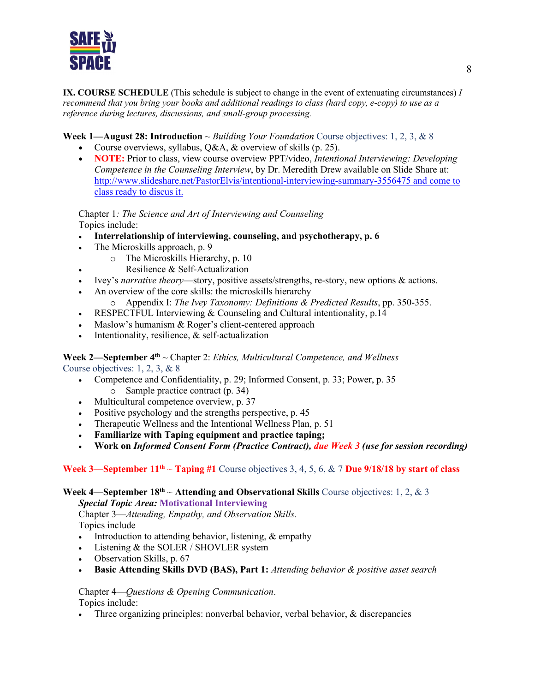

**IX. COURSE SCHEDULE** (This schedule is subject to change in the event of extenuating circumstances) *I recommend that you bring your books and additional readings to class (hard copy, e-copy) to use as a reference during lectures, discussions, and small-group processing.* 

## **Week 1—August 28: Introduction** ~ *Building Your Foundation* Course objectives: 1, 2, 3, & 8

- Course overviews, syllabus, Q&A, & overview of skills (p. 25).
- **NOTE:** Prior to class, view course overview PPT/video, *Intentional Interviewing: Developing Competence in the Counseling Interview*, by Dr. Meredith Drew available on Slide Share at: <http://www.slideshare.net/PastorElvis/intentional-interviewing-summary-3556475> and come to class ready to discus it.

Chapter 1*: The Science and Art of Interviewing and Counseling* Topics include:

- **Interrelationship of interviewing, counseling, and psychotherapy, p. 6**
- The Microskills approach, p. 9
	- o The Microskills Hierarchy, p. 10
	- Resilience & Self-Actualization
- Ivey's *narrative theory*—story, positive assets/strengths, re-story, new options & actions.
- An overview of the core skills: the microskills hierarchy
	- o Appendix I: *The Ivey Taxonomy: Definitions & Predicted Results*, pp. 350-355.
- RESPECTFUL Interviewing & Counseling and Cultural intentionality, p.14
- Maslow's humanism & Roger's client-centered approach
- Intentionality, resilience,  $&$  self-actualization

#### **Week 2—September 4th** ~ Chapter 2: *Ethics, Multicultural Competence, and Wellness* Course objectives: 1, 2, 3, & 8

- Competence and Confidentiality, p. 29; Informed Consent, p. 33; Power, p. 35 o Sample practice contract (p. 34)
- Multicultural competence overview, p. 37
- Positive psychology and the strengths perspective, p. 45
- Therapeutic Wellness and the Intentional Wellness Plan, p. 51
- **Familiarize with Taping equipment and practice taping;**
- **Work on** *Informed Consent Form (Practice Contract), due Week 3 (use for session recording)*

## **Week 3—September**  $11^{th}$  ~ **Taping** #1 Course objectives 3, 4, 5, 6, & 7 **Due 9/18/18** by start of class

#### **Week 4—September 18<sup>th</sup>**  $\sim$  **Attending and Observational Skills** Course objectives: 1, 2, & 3

*Special Topic Area:* **Motivational Interviewing**

Chapter 3—*Attending, Empathy, and Observation Skills.*  Topics include

- Introduction to attending behavior, listening, & empathy
- Listening & the SOLER / SHOVLER system
- Observation Skills, p. 67
- **Basic Attending Skills DVD (BAS), Part 1:** *Attending behavior & positive asset search*

Chapter 4—*Questions & Opening Communication*. Topics include:

• Three organizing principles: nonverbal behavior, verbal behavior, & discrepancies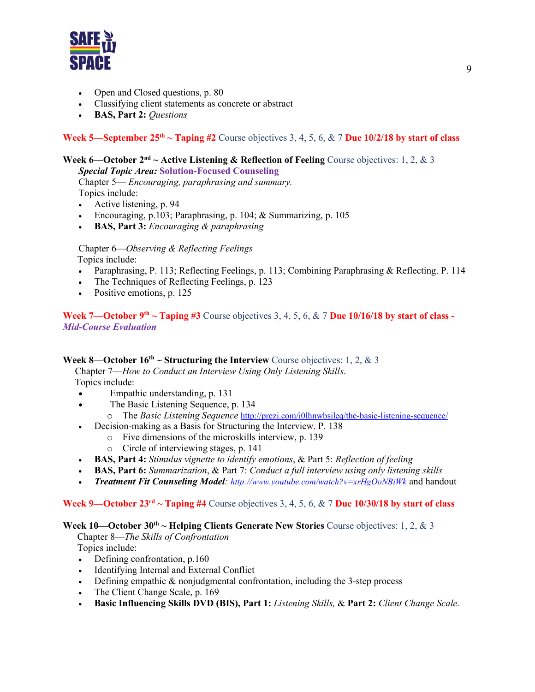

- Open and Closed questions, p. 80
- Classifying client statements as concrete or abstract
- **BAS, Part 2:** *Questions*

## **Week 5—September 25<sup>th</sup>**  $\sim$  **<b>Taping #2** Course objectives 3, 4, 5, 6, & 7 **Due 10/2/18** by start of class

### **Week 6—October 2nd ~ Active Listening & Reflection of Feeling** Course objectives: 1, 2, & 3

*Special Topic Area:* **Solution-Focused Counseling**

Chapter 5— *Encouraging, paraphrasing and summary.* Topics include:

- Active listening, p. 94
- Encouraging, p.103; Paraphrasing, p. 104; & Summarizing, p. 105
- **BAS, Part 3:** *Encouraging & paraphrasing*

Chapter 6—*Observing & Reflecting Feelings* Topics include:

- Paraphrasing, P. 113; Reflecting Feelings, p. 113; Combining Paraphrasing & Reflecting. P. 114
- The Techniques of Reflecting Feelings, p. 123
- Positive emotions, p. 125

## **Week 7—October 9<sup>th</sup>**  $\sim$  **<b>Taping #3** Course objectives 3, 4, 5, 6, & 7 **Due 10/16/18** by start of class -*Mid-Course Evaluation*

## **Week 8—October**  $16^{th} \sim$  **<b>Structuring the Interview** Course objectives: 1, 2, & 3

Chapter 7—*How to Conduct an Interview Using Only Listening Skills*.

Topics include:

- Empathic understanding, p. 131
- The Basic Listening Sequence, p. 134
- o The *Basic Listening Sequence* <http://prezi.com/i0lhnwbsileq/the-basic-listening-sequence/>
- Decision-making as a Basis for Structuring the Interview. P. 138
	- o Five dimensions of the microskills interview, p. 139
	- o Circle of interviewing stages, p. 141
- **BAS, Part 4:** *Stimulus vignette to identify emotions*, & Part 5: *Reflection of feeling*
- **BAS, Part 6:** *Summarization*, & Part 7: *Conduct a full interview using only listening skills*
- *Treatment Fit Counseling Model:<http://www.youtube.com/watch?v=xrHgOoNBiWk>* and handout

## **Week 9—October 23rd ~ Taping #4** Course objectives 3, 4, 5, 6, & 7 **Due 10/30/18 by start of class**

## Week 10—October 30<sup>th</sup> ~ **Helping Clients Generate New Stories** Course objectives: 1, 2, & 3

 Chapter 8—*The Skills of Confrontation* Topics include:

- Defining confrontation, p.160
- Identifying Internal and External Conflict
- Defining empathic & nonjudgmental confrontation, including the 3-step process
- The Client Change Scale, p. 169
- **Basic Influencing Skills DVD (BIS), Part 1:** *Listening Skills,* & **Part 2:** *Client Change Scale.*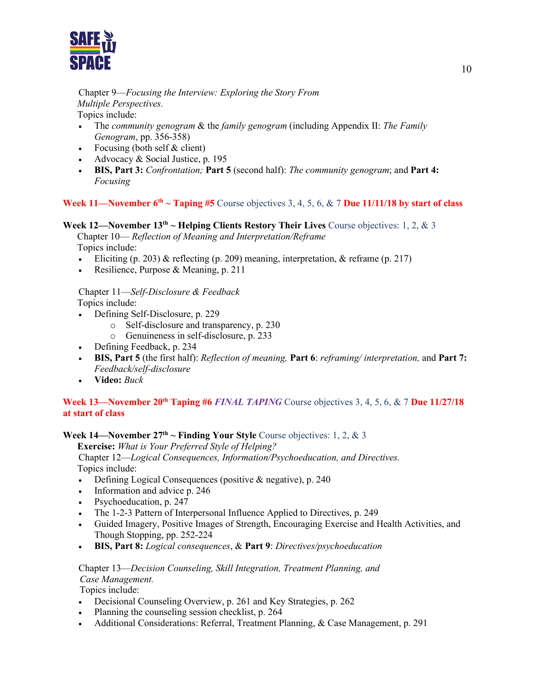

## Chapter 9—*Focusing the Interview: Exploring the Story From Multiple Perspectives.*

Topics include:

- The *community genogram* & the *family genogram* (including Appendix II: *The Family Genogram*, pp. 356-358)
- Focusing (both self & client)
- Advocacy & Social Justice, p. 195
- **BIS, Part 3:** *Confrontation;* **Part 5** (second half): *The community genogram*; and **Part 4:** *Focusing*

## **Week 11—November 6<sup>th</sup>**  $\sim$  **<b>Taping #5** Course objectives 3, 4, 5, 6, & 7 **Due 11/11/18** by start of class

## **Week 12—November 13th ~ Helping Clients Restory Their Lives** Course objectives: 1, 2, & 3

Chapter 10— *Reflection of Meaning and Interpretation/Reframe* Topics include:

- Eliciting  $(p. 203)$  & reflecting  $(p. 209)$  meaning, interpretation, & reframe  $(p. 217)$
- Resilience, Purpose & Meaning, p. 211

Chapter 11—*Self-Disclosure & Feedback* Topics include:

- Defining Self-Disclosure, p. 229
	- o Self-disclosure and transparency, p. 230
	- o Genuineness in self-disclosure, p. 233
- Defining Feedback, p. 234
- **BIS, Part 5** (the first half): *Reflection of meaning,* **Part 6**: *reframing/ interpretation,* and **Part 7:** *Feedback/self-disclosure*
- **Video:** *Buck*

## Week 13—November 20<sup>th</sup> Taping #6 *FINAL TAPING* Course objectives 3, 4, 5, 6, & 7 Due 11/27/18 **at start of class**

#### **Week 14—November**  $27<sup>th</sup> \sim$  **<b>Finding Your Style** Course objectives: 1, 2, & 3

 **Exercise:** *What is Your Preferred Style of Helping?* 

Chapter 12—*Logical Consequences, Information/Psychoeducation, and Directives.* Topics include:

- Defining Logical Consequences (positive & negative), p. 240
- Information and advice p. 246
- Psychoeducation, p. 247
- The 1-2-3 Pattern of Interpersonal Influence Applied to Directives, p. 249
- Guided Imagery, Positive Images of Strength, Encouraging Exercise and Health Activities, and Though Stopping, pp. 252-224
- **BIS, Part 8:** *Logical consequences*, & **Part 9**: *Directives/psychoeducation*

## Chapter 13—*Decision Counseling, Skill Integration, Treatment Planning, and Case Management.*

Topics include:

- Decisional Counseling Overview, p. 261 and Key Strategies, p. 262
- Planning the counseling session checklist, p. 264
- Additional Considerations: Referral, Treatment Planning, & Case Management, p. 291